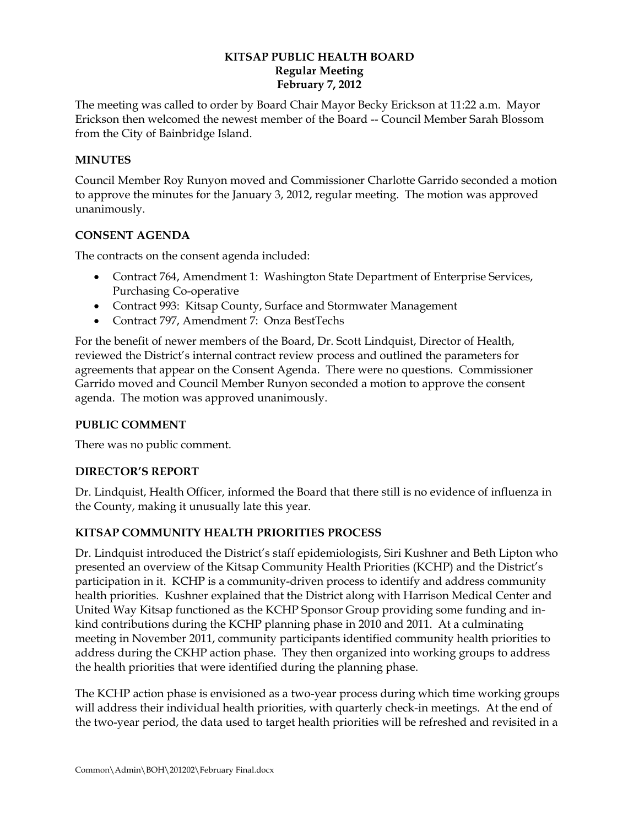#### **KITSAP PUBLIC HEALTH BOARD Regular Meeting February 7, 2012**

The meeting was called to order by Board Chair Mayor Becky Erickson at 11:22 a.m. Mayor Erickson then welcomed the newest member of the Board -- Council Member Sarah Blossom from the City of Bainbridge Island.

### **MINUTES**

Council Member Roy Runyon moved and Commissioner Charlotte Garrido seconded a motion to approve the minutes for the January 3, 2012, regular meeting. The motion was approved unanimously.

### **CONSENT AGENDA**

The contracts on the consent agenda included:

- Contract 764, Amendment 1: Washington State Department of Enterprise Services, Purchasing Co-operative
- Contract 993: Kitsap County, Surface and Stormwater Management
- Contract 797, Amendment 7: Onza BestTechs

For the benefit of newer members of the Board, Dr. Scott Lindquist, Director of Health, reviewed the District's internal contract review process and outlined the parameters for agreements that appear on the Consent Agenda. There were no questions. Commissioner Garrido moved and Council Member Runyon seconded a motion to approve the consent agenda. The motion was approved unanimously.

### **PUBLIC COMMENT**

There was no public comment.

### **DIRECTOR'S REPORT**

Dr. Lindquist, Health Officer, informed the Board that there still is no evidence of influenza in the County, making it unusually late this year.

# **KITSAP COMMUNITY HEALTH PRIORITIES PROCESS**

Dr. Lindquist introduced the District's staff epidemiologists, Siri Kushner and Beth Lipton who presented an overview of the Kitsap Community Health Priorities (KCHP) and the District's participation in it. KCHP is a community-driven process to identify and address community health priorities. Kushner explained that the District along with Harrison Medical Center and United Way Kitsap functioned as the KCHP Sponsor Group providing some funding and inkind contributions during the KCHP planning phase in 2010 and 2011. At a culminating meeting in November 2011, community participants identified community health priorities to address during the CKHP action phase. They then organized into working groups to address the health priorities that were identified during the planning phase.

The KCHP action phase is envisioned as a two-year process during which time working groups will address their individual health priorities, with quarterly check-in meetings. At the end of the two-year period, the data used to target health priorities will be refreshed and revisited in a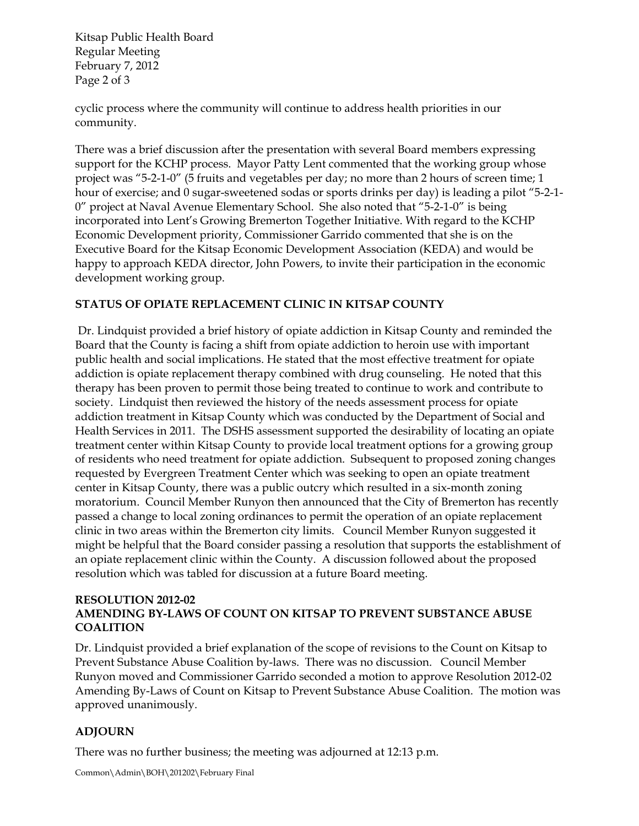Kitsap Public Health Board Regular Meeting February 7, 2012 Page 2 of 3

cyclic process where the community will continue to address health priorities in our community.

There was a brief discussion after the presentation with several Board members expressing support for the KCHP process. Mayor Patty Lent commented that the working group whose project was "5-2-1-0" (5 fruits and vegetables per day; no more than 2 hours of screen time; 1 hour of exercise; and 0 sugar-sweetened sodas or sports drinks per day) is leading a pilot "5-2-1- 0" project at Naval Avenue Elementary School. She also noted that "5-2-1-0" is being incorporated into Lent's Growing Bremerton Together Initiative. With regard to the KCHP Economic Development priority, Commissioner Garrido commented that she is on the Executive Board for the Kitsap Economic Development Association (KEDA) and would be happy to approach KEDA director, John Powers, to invite their participation in the economic development working group.

# **STATUS OF OPIATE REPLACEMENT CLINIC IN KITSAP COUNTY**

Dr. Lindquist provided a brief history of opiate addiction in Kitsap County and reminded the Board that the County is facing a shift from opiate addiction to heroin use with important public health and social implications. He stated that the most effective treatment for opiate addiction is opiate replacement therapy combined with drug counseling. He noted that this therapy has been proven to permit those being treated to continue to work and contribute to society. Lindquist then reviewed the history of the needs assessment process for opiate addiction treatment in Kitsap County which was conducted by the Department of Social and Health Services in 2011. The DSHS assessment supported the desirability of locating an opiate treatment center within Kitsap County to provide local treatment options for a growing group of residents who need treatment for opiate addiction. Subsequent to proposed zoning changes requested by Evergreen Treatment Center which was seeking to open an opiate treatment center in Kitsap County, there was a public outcry which resulted in a six-month zoning moratorium. Council Member Runyon then announced that the City of Bremerton has recently passed a change to local zoning ordinances to permit the operation of an opiate replacement clinic in two areas within the Bremerton city limits. Council Member Runyon suggested it might be helpful that the Board consider passing a resolution that supports the establishment of an opiate replacement clinic within the County. A discussion followed about the proposed resolution which was tabled for discussion at a future Board meeting.

#### **RESOLUTION 2012-02 AMENDING BY-LAWS OF COUNT ON KITSAP TO PREVENT SUBSTANCE ABUSE COALITION**

Dr. Lindquist provided a brief explanation of the scope of revisions to the Count on Kitsap to Prevent Substance Abuse Coalition by-laws. There was no discussion. Council Member Runyon moved and Commissioner Garrido seconded a motion to approve Resolution 2012-02 Amending By-Laws of Count on Kitsap to Prevent Substance Abuse Coalition. The motion was approved unanimously.

# **ADJOURN**

There was no further business; the meeting was adjourned at 12:13 p.m.